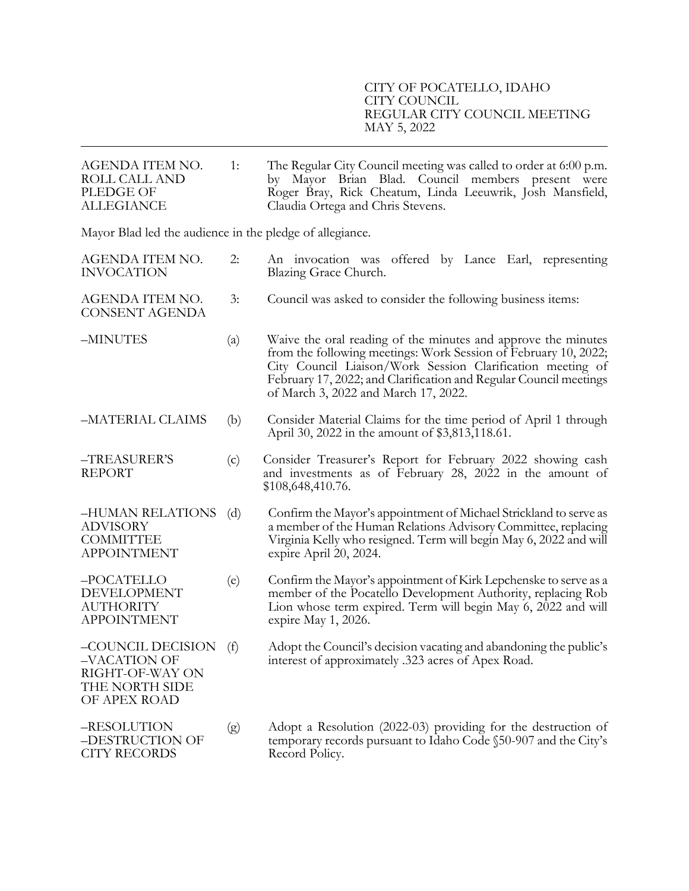| AGENDA ITEM NO.<br>ROLL CALL AND<br>PLEDGE OF<br><b>ALLEGIANCE</b>                     | 1:  | The Regular City Council meeting was called to order at 6:00 p.m.<br>by Mayor Brian Blad. Council members present were<br>Roger Bray, Rick Cheatum, Linda Leeuwrik, Josh Mansfield,<br>Claudia Ortega and Chris Stevens.                                                                                    |
|----------------------------------------------------------------------------------------|-----|-------------------------------------------------------------------------------------------------------------------------------------------------------------------------------------------------------------------------------------------------------------------------------------------------------------|
| Mayor Blad led the audience in the pledge of allegiance.                               |     |                                                                                                                                                                                                                                                                                                             |
| AGENDA ITEM NO.<br><b>INVOCATION</b>                                                   | 2:  | An invocation was offered by Lance Earl, representing<br>Blazing Grace Church.                                                                                                                                                                                                                              |
| AGENDA ITEM NO.<br><b>CONSENT AGENDA</b>                                               | 3:  | Council was asked to consider the following business items:                                                                                                                                                                                                                                                 |
| -MINUTES                                                                               | (a) | Waive the oral reading of the minutes and approve the minutes<br>from the following meetings: Work Session of February 10, 2022;<br>City Council Liaison/Work Session Clarification meeting of<br>February 17, 2022; and Clarification and Regular Council meetings<br>of March 3, 2022 and March 17, 2022. |
| -MATERIAL CLAIMS                                                                       | (b) | Consider Material Claims for the time period of April 1 through<br>April 30, 2022 in the amount of \$3,813,118.61.                                                                                                                                                                                          |
| -TREASURER'S<br><b>REPORT</b>                                                          | (c) | Consider Treasurer's Report for February 2022 showing cash<br>and investments as of February 28, 2022 in the amount of<br>\$108,648,410.76.                                                                                                                                                                 |
| -HUMAN RELATIONS<br><b>ADVISORY</b><br><b>COMMITTEE</b><br><b>APPOINTMENT</b>          | (d) | Confirm the Mayor's appointment of Michael Strickland to serve as<br>a member of the Human Relations Advisory Committee, replacing<br>Virginia Kelly who resigned. Term will begin May 6, 2022 and will<br>expire April 20, 2024.                                                                           |
| -POCATELLO<br>DEVELOPMENT<br><b>AUTHORITY</b><br><b>APPOINTMENT</b>                    | (e) | Confirm the Mayor's appointment of Kirk Lepchenske to serve as a<br>member of the Pocatello Development Authority, replacing Rob<br>Lion whose term expired. Term will begin May 6, 2022 and will<br>expire May 1, 2026.                                                                                    |
| -COUNCIL DECISION<br>-VACATION OF<br>RIGHT-OF-WAY ON<br>THE NORTH SIDE<br>OF APEX ROAD | (f) | Adopt the Council's decision vacating and abandoning the public's<br>interest of approximately .323 acres of Apex Road.                                                                                                                                                                                     |
| -RESOLUTION<br>–DESTRUCTION OF<br><b>CITY RECORDS</b>                                  | (g) | Adopt a Resolution (2022-03) providing for the destruction of<br>temporary records pursuant to Idaho Code §50-907 and the City's<br>Record Policy.                                                                                                                                                          |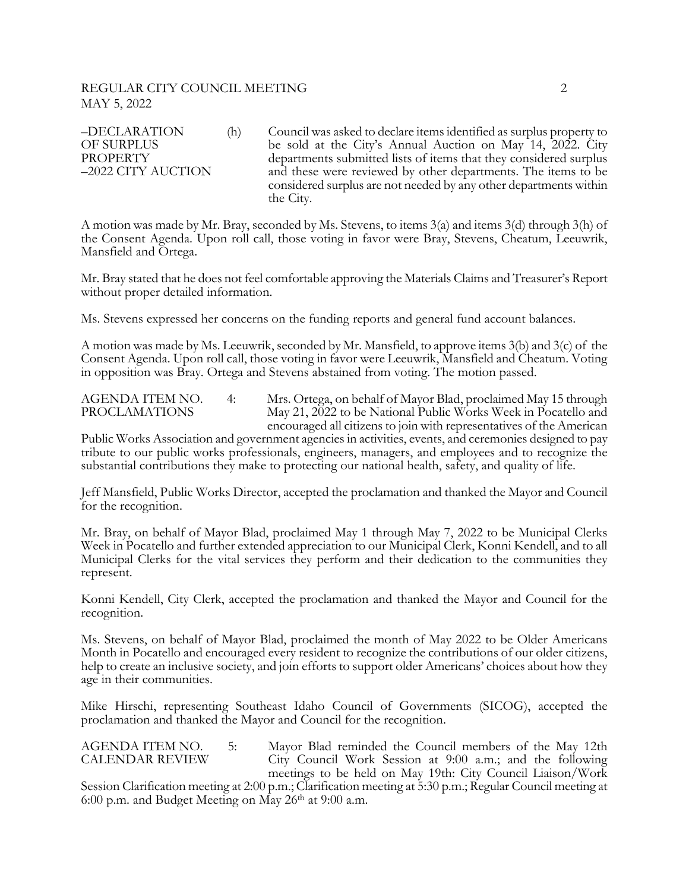# REGULAR CITY COUNCIL MEETING 2 MAY 5, 2022

–DECLARATION (h) Council was asked to declare items identified as surplus property to OF SURPLUS be sold at the City's Annual Auction on May 14, 2022. City<br>PROPERTY departments submitted lists of items that they considered surplus -2022 CITY AUCTION and these were reviewed by other departments. The items to be considered surplus are not needed by any other departments within the City.

A motion was made by Mr. Bray, seconded by Ms. Stevens, to items 3(a) and items 3(d) through 3(h) of the Consent Agenda. Upon roll call, those voting in favor were Bray, Stevens, Cheatum, Leeuwrik, Mansfield and Ortega.

Mr. Bray stated that he does not feel comfortable approving the Materials Claims and Treasurer's Report without proper detailed information.

Ms. Stevens expressed her concerns on the funding reports and general fund account balances.

A motion was made by Ms. Leeuwrik, seconded by Mr. Mansfield, to approve items 3(b) and 3(c) of the Consent Agenda. Upon roll call, those voting in favor were Leeuwrik, Mansfield and Cheatum. Voting in opposition was Bray. Ortega and Stevens abstained from voting. The motion passed.

AGENDA ITEM NO. 4: Mrs. Ortega, on behalf of Mayor Blad, proclaimed May 15 through<br>PROCLAMATIONS May 21, 2022 to be National Public Works Week in Pocatello and May 21, 2022 to be National Public Works Week in Pocatello and encouraged all citizens to join with representatives of the American

Public Works Association and government agencies in activities, events, and ceremonies designed to pay tribute to our public works professionals, engineers, managers, and employees and to recognize the substantial contributions they make to protecting our national health, safety, and quality of life.

Jeff Mansfield, Public Works Director, accepted the proclamation and thanked the Mayor and Council for the recognition.

Mr. Bray, on behalf of Mayor Blad, proclaimed May 1 through May 7, 2022 to be Municipal Clerks Week in Pocatello and further extended appreciation to our Municipal Clerk, Konni Kendell, and to all Municipal Clerks for the vital services they perform and their dedication to the communities they represent.

Konni Kendell, City Clerk, accepted the proclamation and thanked the Mayor and Council for the recognition.

Ms. Stevens, on behalf of Mayor Blad, proclaimed the month of May 2022 to be Older Americans Month in Pocatello and encouraged every resident to recognize the contributions of our older citizens, help to create an inclusive society, and join efforts to support older Americans' choices about how they age in their communities.

Mike Hirschi, representing Southeast Idaho Council of Governments (SICOG), accepted the proclamation and thanked the Mayor and Council for the recognition.

AGENDA ITEM NO. 5: Mayor Blad reminded the Council members of the May 12th CALENDAR REVIEW City Council Work Session at 9:00 a.m.; and the following meetings to be held on May 19th: City Council Liaison/Work

Session Clarification meeting at 2:00 p.m.; Clarification meeting at 5:30 p.m.; Regular Council meeting at 6:00 p.m. and Budget Meeting on May 26th at 9:00 a.m.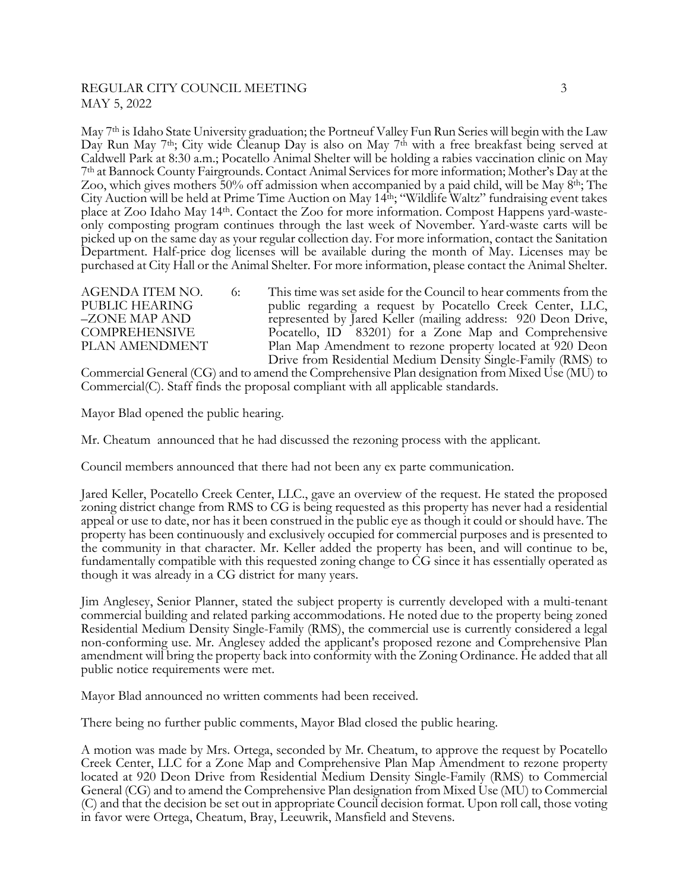# REGULAR CITY COUNCIL MEETING 3 MAY 5, 2022

May 7<sup>th</sup> is Idaho State University graduation; the Portneuf Valley Fun Run Series will begin with the Law Day Run May 7<sup>th</sup>; City wide Cleanup Day is also on May 7<sup>th</sup> with a free breakfast being served at Caldwell Park at 8:30 a.m.; Pocatello Animal Shelter will be holding a rabies vaccination clinic on May 7th at Bannock County Fairgrounds. Contact Animal Services for more information; Mother's Day at the Zoo, which gives mothers 50% off admission when accompanied by a paid child, will be May 8<sup>th</sup>; The City Auction will be held at Prime Time Auction on May 14th; "Wildlife Waltz" fundraising event takes place at Zoo Idaho May 14th. Contact the Zoo for more information. Compost Happens yard-waste- only composting program continues through the last week of November. Yard-waste carts will be picked up on the same day as your regular collection day. For more information, contact the Sanitation Department. Half-price dog licenses will be available during the month of May. Licenses may be purchased at City Hall or the Animal Shelter. For more information, please contact the Animal Shelter.

AGENDA ITEM NO. 6: This time was set aside for the Council to hear comments from the PUBLIC HEARING public regarding a request by Pocatello Creek Center, LLC, –<br>ZONE MAP AND represented by Jared Keller (mailing address: 920 Deon Drive, COMPREHENSIVE Pocatello, ID 83201) for a Zone Map and Comprehensive PLAN AMENDMENT Plan Map Amendment to rezone property located at 920 Deon Drive from Residential Medium Density Single-Family (RMS) to

Commercial General (CG) and to amend the Comprehensive Plan designation from Mixed Use (MU) to Commercial(C). Staff finds the proposal compliant with all applicable standards.

Mayor Blad opened the public hearing.

Mr. Cheatum announced that he had discussed the rezoning process with the applicant.

Council members announced that there had not been any ex parte communication.

Jared Keller, Pocatello Creek Center, LLC., gave an overview of the request. He stated the proposed zoning district change from RMS to CG is being requested as this property has never had a residential appeal or use to date, nor has it been construed in the public eye as though it could or should have. The property has been continuously and exclusively occupied for commercial purposes and is presented to the community in that character. Mr. Keller added the property has been, and will continue to be, fundamentally compatible with this requested zoning change to CG since it has essentially operated as though it was already in a CG district for many years.

Jim Anglesey, Senior Planner, stated the subject property is currently developed with a multi-tenant commercial building and related parking accommodations. He noted due to the property being zoned Residential Medium Density Single-Family (RMS), the commercial use is currently considered a legal non-conforming use. Mr. Anglesey added the applicant's proposed rezone and Comprehensive Plan amendment will bring the property back into conformity with the Zoning Ordinance. He added that all public notice requirements were met.

Mayor Blad announced no written comments had been received.

There being no further public comments, Mayor Blad closed the public hearing.

A motion was made by Mrs. Ortega, seconded by Mr. Cheatum, to approve the request by Pocatello Creek Center, LLC for a Zone Map and Comprehensive Plan Map Amendment to rezone property located at 920 Deon Drive from Residential Medium Density Single-Family (RMS) to Commercial General (CG) and to amend the Comprehensive Plan designation from Mixed Use (MU) to Commercial (C) and that the decision be set out in appropriate Council decision format. Upon roll call, those voting in favor were Ortega, Cheatum, Bray, Leeuwrik, Mansfield and Stevens.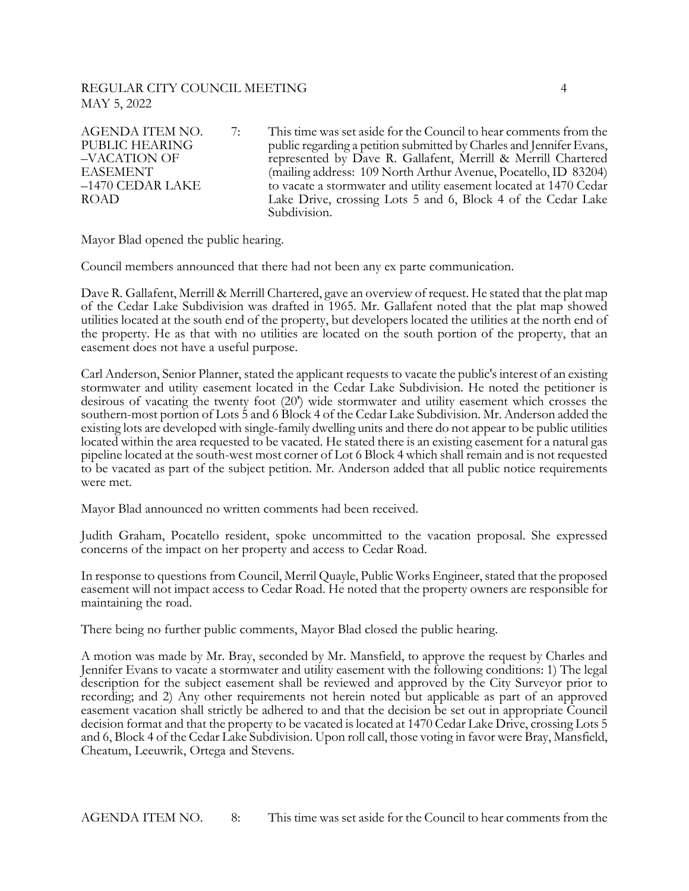# REGULAR CITY COUNCIL MEETING 4 MAY 5, 2022

AGENDA ITEM NO.  $\qquad$  7: This time was set aside for the Council to hear comments from the PUBLIC HEARING public regarding a petition submitted by Charles and Jennifer Evans,<br>
-VACATION OF represented by Dave R. Gallafent, Merrill & Merrill Chartered EASEMENT (mailing address: 109 North Arthur Avenue, Pocatello, ID 83204)<br>-1470 CEDAR LAKE to vacate a stormwater and utility easement located at 1470 Cedar ROAD Lake Drive, crossing Lots 5 and 6, Block 4 of the Cedar Lake Subdivision.

Mayor Blad opened the public hearing.

Council members announced that there had not been any ex parte communication.

Dave R. Gallafent, Merrill & Merrill Chartered, gave an overview of request. He stated that the plat map of the Cedar Lake Subdivision was drafted in 1965. Mr. Gallafent noted that the plat map showed utilities located at the south end of the property, but developers located the utilities at the north end of the property. He as that with no utilities are located on the south portion of the property, that an easement does not have a useful purpose.

Carl Anderson, Senior Planner, stated the applicant requests to vacate the public's interest of an existing stormwater and utility easement located in the Cedar Lake Subdivision. He noted the petitioner is desirous of vacating the twenty foot (20') wide stormwater and utility easement which crosses the southern-most portion of Lots 5 and 6 Block 4 of the Cedar Lake Subdivision. Mr. Anderson added the existing lots are developed with single-family dwelling units and there do not appear to be public utilities located within the area requested to be vacated. He stated there is an existing easement for a natural gas pipeline located at the south-west most corner of Lot 6 Block 4 which shall remain and is not requested to be vacated as part of the subject petition. Mr. Anderson added that all public notice requirements were met.

Mayor Blad announced no written comments had been received.

Judith Graham, Pocatello resident, spoke uncommitted to the vacation proposal. She expressed concerns of the impact on her property and access to Cedar Road.

In response to questions from Council, Merril Quayle, Public Works Engineer, stated that the proposed easement will not impact access to Cedar Road. He noted that the property owners are responsible for maintaining the road.

There being no further public comments, Mayor Blad closed the public hearing.

A motion was made by Mr. Bray, seconded by Mr. Mansfield, to approve the request by Charles and Jennifer Evans to vacate a stormwater and utility easement with the following conditions: 1) The legal description for the subject easement shall be reviewed and approved by the City Surveyor prior to recording; and 2) Any other requirements not herein noted but applicable as part of an approved easement vacation shall strictly be adhered to and that the decision be set out in appropriate Council decision format and that the property to be vacated is located at 1470 Cedar Lake Drive, crossing Lots 5 and 6, Block 4 of the Cedar Lake Subdivision. Upon roll call, those voting in favor were Bray, Mansfield, Cheatum, Leeuwrik, Ortega and Stevens.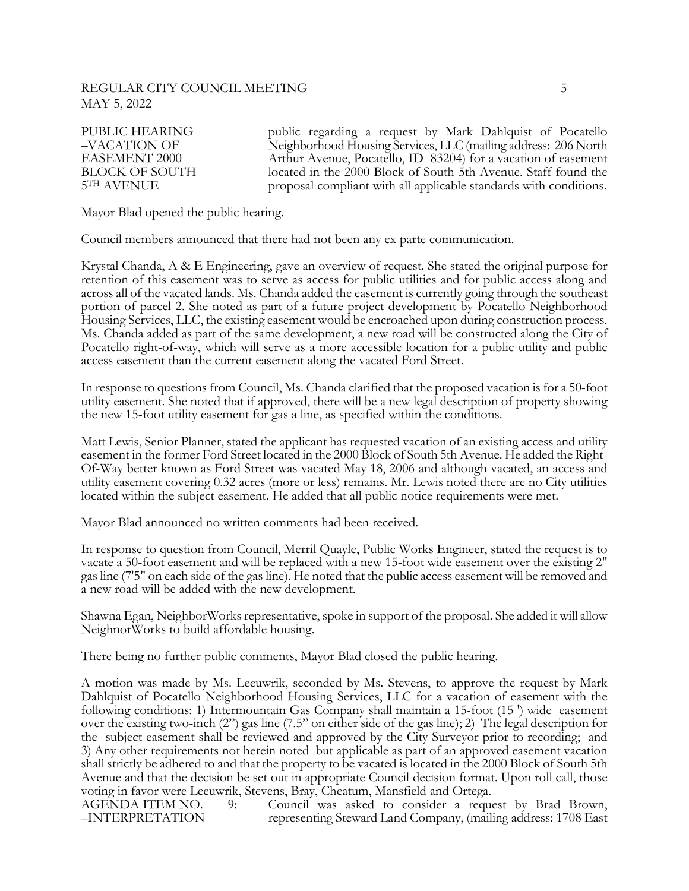# REGULAR CITY COUNCIL MEETING 5 MAY 5, 2022

PUBLIC HEARING public regarding a request by Mark Dahlquist of Pocatello<br>
–VACATION OF Neighborhood Housing Services, LLC (mailing address: 206 North EASEMENT 2000 Arthur Avenue, Pocatello, ID 83204) for a vacation of easement BLOCK OF SOUTH located in the 2000 Block of South 5th Avenue. Staff found the 5TH AVENUE proposal compliant with all applicable standards with conditions.

Mayor Blad opened the public hearing.

Council members announced that there had not been any ex parte communication.

Krystal Chanda, A & E Engineering, gave an overview of request. She stated the original purpose for retention of this easement was to serve as access for public utilities and for public access along and across all of the vacated lands. Ms. Chanda added the easement is currently going through the southeast portion of parcel 2. She noted as part of a future project development by Pocatello Neighborhood Housing Services, LLC, the existing easement would be encroached upon during construction process. Ms. Chanda added as part of the same development, a new road will be constructed along the City of Pocatello right-of-way, which will serve as a more accessible location for a public utility and public access easement than the current easement along the vacated Ford Street.

In response to questions from Council, Ms. Chanda clarified that the proposed vacation is for a 50-foot utility easement. She noted that if approved, there will be a new legal description of property showing the new 15-foot utility easement for gas a line, as specified within the conditions.

Matt Lewis, Senior Planner, stated the applicant has requested vacation of an existing access and utility easement in the former Ford Street located in the 2000 Block of South 5th Avenue. He added the Right-Of-Way better known as Ford Street was vacated May 18, 2006 and although vacated, an access and utility easement covering 0.32 acres (more or less) remains. Mr. Lewis noted there are no City utilities located within the subject easement. He added that all public notice requirements were met.

Mayor Blad announced no written comments had been received.

In response to question from Council, Merril Quayle, Public Works Engineer, stated the request is to vacate a 50-foot easement and will be replaced with a new 15-foot wide easement over the existing 2" gas line (7'5" on each side of the gas line). He noted that the public access easement will be removed and a new road will be added with the new development.

Shawna Egan, NeighborWorks representative, spoke in support of the proposal. She added it will allow NeighnorWorks to build affordable housing.

There being no further public comments, Mayor Blad closed the public hearing.

A motion was made by Ms. Leeuwrik, seconded by Ms. Stevens, to approve the request by Mark Dahlquist of Pocatello Neighborhood Housing Services, LLC for a vacation of easement with the following conditions: 1) Intermountain Gas Company shall maintain a 15-foot (15 ') wide easement over the existing two-inch (2") gas line (7.5" on either side of the gas line); 2) The legal description for the subject easement shall be reviewed and approved by the City Surveyor prior to recording; and 3) Any other requirements not herein noted but applicable as part of an approved easement vacation shall strictly be adhered to and that the property to be vacated is located in the 2000 Block of South 5th Avenue and that the decision be set out in appropriate Council decision format. Upon roll call, those voting in favor were Leeuwrik, Stevens, Bray, Cheatum, Mansfield and Ortega.<br>AGENDA ITEM NO. 9: Council was asked to consider a request by Brad Brown,

AGENDA ITEM NO. 9: Council was asked to consider a request by Brad Brown, –INTERPRETATION representing Steward Land Company, (mailing address: 1708 East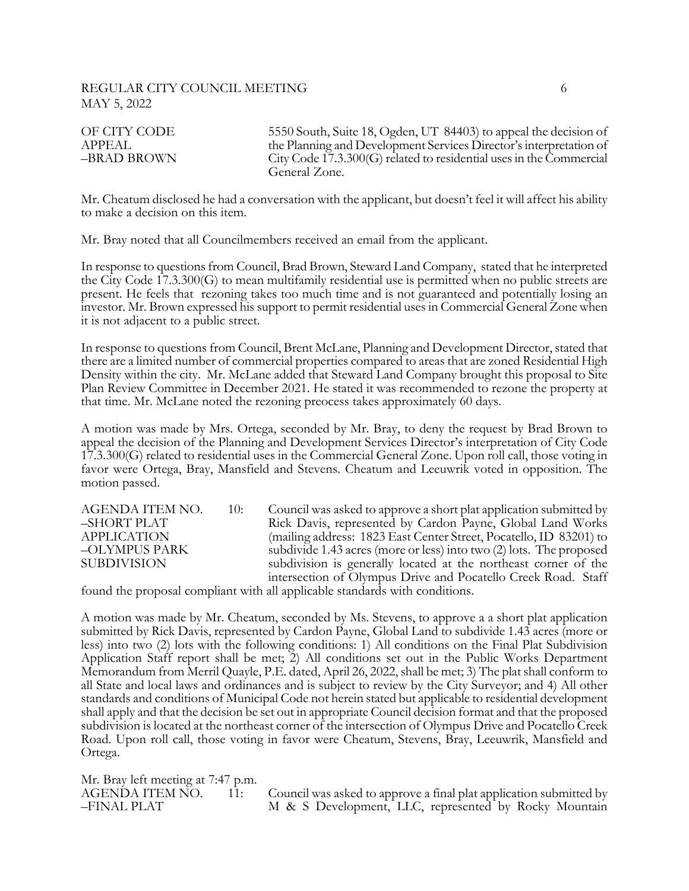#### REGULAR CITY COUNCIL MEETING 6 MAY 5, 2022

OF CITY CODE 5550 South, Suite 18, Ogden, UT 84403) to appeal the decision of APPEAL the Planning and Development Services Director's interpretation of –BRAD BROWN City Code 17.3.300(G) related to residential uses in the Commercial General Zone.

Mr. Cheatum disclosed he had a conversation with the applicant, but doesn't feel it will affect his ability to make a decision on this item.

Mr. Bray noted that all Councilmembers received an email from the applicant.

In response to questions from Council, Brad Brown, Steward Land Company, stated that he interpreted the City Code 17.3.300(G) to mean multifamily residential use is permitted when no public streets are present. He feels that rezoning takes too much time and is not guaranteed and potentially losing an investor. Mr. Brown expressed his support to permit residential usesin Commercial General Zone when it is not adjacent to a public street.

In response to questions from Council, Brent McLane, Planning and Development Director, stated that there are a limited number of commercial properties compared to areas that are zoned Residential High Density within the city. Mr. McLane added that Steward Land Company brought this proposal to Site Plan Review Committee in December 2021. He stated it was recommended to rezone the property at that time. Mr. McLane noted the rezoning preocess takes approximately 60 days.

A motion was made by Mrs. Ortega, seconded by Mr. Bray, to deny the request by Brad Brown to appeal the decision of the Planning and Development Services Director's interpretation of City Code 17.3.300(G) related to residential uses in the Commercial General Zone. Upon roll call, those voting in favor were Ortega, Bray, Mansfield and Stevens. Cheatum and Leeuwrik voted in opposition. The motion passed.

AGENDA ITEM NO. 10: Council was asked to approve a short plat application submitted by –SHORT PLAT Rick Davis, represented by Cardon Payne, Global Land Works APPLICATION (mailing address: 1823 East Center Street, Pocatello, ID 83201) to –OLYMPUS PARK subdivide 1.43 acres (more or less) into two (2) lots. The proposed SUBDIVISION subdivision is generally located at the northeast corner of the intersection of Olympus Drive and Pocatello Creek Road. Staff

found the proposal compliant with all applicable standards with conditions.

A motion was made by Mr. Cheatum, seconded by Ms. Stevens, to approve a a short plat application submitted by Rick Davis, represented by Cardon Payne, Global Land to subdivide 1.43 acres (more or less) into two (2) lots with the following conditions: 1) All conditions on the Final Plat Subdivision Application Staff report shall be met; 2) All conditions set out in the Public Works Department Memorandum from Merril Quayle, P.E. dated, April 26, 2022, shall be met; 3) The plat shall conform to all State and local laws and ordinances and is subject to review by the City Surveyor; and 4) All other standards and conditions of Municipal Code not herein stated but applicable to residential development shall apply and that the decision be set out in appropriate Council decision format and that the proposed subdivision is located at the northeast corner of the intersection of Olympus Drive and Pocatello Creek Road. Upon roll call, those voting in favor were Cheatum, Stevens, Bray, Leeuwrik, Mansfield and Ortega.

Mr. Bray left meeting at 7:47 p.m.

AGENDA ITEM NO. 11: Council was asked to approve a final plat application submitted by –FINAL PLAT M & S Development, LLC, represented by Rocky Mountain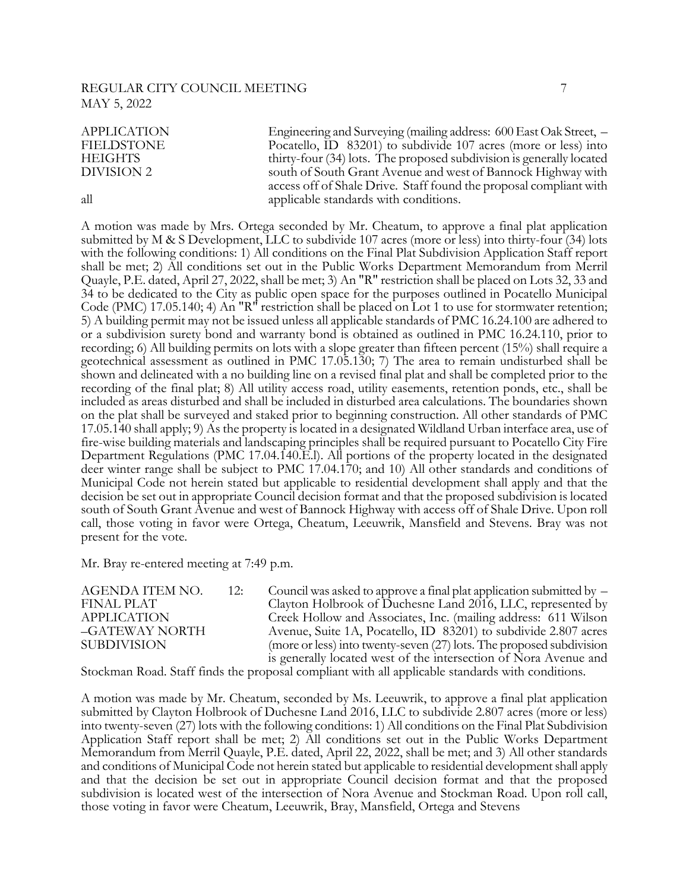# REGULAR CITY COUNCIL MEETING **7** MAY 5, 2022

| <b>APPLICATION</b> | Engineering and Surveying (mailing address: 600 East Oak Street, –   |
|--------------------|----------------------------------------------------------------------|
| <b>FIELDSTONE</b>  | Pocatello, ID 83201) to subdivide 107 acres (more or less) into      |
| <b>HEIGHTS</b>     | thirty-four (34) lots. The proposed subdivision is generally located |
| DIVISION 2         | south of South Grant Avenue and west of Bannock Highway with         |
|                    | access off of Shale Drive. Staff found the proposal compliant with   |
| all                | applicable standards with conditions.                                |

A motion was made by Mrs. Ortega seconded by Mr. Cheatum, to approve a final plat application submitted by M & S Development, LLC to subdivide 107 acres (more or less) into thirty-four (34) lots with the following conditions: 1) All conditions on the Final Plat Subdivision Application Staff report shall be met; 2) All conditions set out in the Public Works Department Memorandum from Merril Quayle, P.E. dated, April 27, 2022, shall be met; 3) An "R" restriction shall be placed on Lots 32, 33 and 34 to be dedicated to the City as public open space for the purposes outlined in Pocatello Municipal Code (PMC) 17.05.140; 4) An "R" restriction shall be placed on Lot 1 to use for stormwater retention; 5) A building permit may not be issued unless all applicable standards of PMC 16.24.100 are adhered to or a subdivision surety bond and warranty bond is obtained as outlined in PMC 16.24.110, prior to recording; 6) All building permits on lots with a slope greater than fifteen percent (15%) shall require a geotechnical assessment as outlined in PMC 17.05.130; 7) The area to remain undisturbed shall be shown and delineated with a no building line on a revised final plat and shall be completed prior to the recording of the final plat; 8) All utility access road, utility easements, retention ponds, etc., shall be included as areas disturbed and shall be included in disturbed area calculations. The boundaries shown on the plat shall be surveyed and staked prior to beginning construction. All other standards of PMC 17.05.140 shall apply; 9) As the property is located in a designated Wildland Urban interface area, use of fire-wise building materials and landscaping principles shall be required pursuant to Pocatello City Fire Department Regulations (PMC 17.04.140.E.l). All portions of the property located in the designated deer winter range shall be subject to PMC 17.04.170; and 10) All other standards and conditions of Municipal Code not herein stated but applicable to residential development shall apply and that the decision be set out in appropriate Council decision format and that the proposed subdivision is located south of South Grant Avenue and west of Bannock Highway with access off of Shale Drive. Upon roll call, those voting in favor were Ortega, Cheatum, Leeuwrik, Mansfield and Stevens. Bray was not present for the vote.

Mr. Bray re-entered meeting at 7:49 p.m.

AGENDA ITEM NO. 12: Council was asked to approve a final plat application submitted by  $-$ FINAL PLAT Clayton Holbrook of Duchesne Land 2016, LLC, represented by APPLICATION Creek Hollow and Associates, Inc. (mailing address: 611 Wilson<br>
-GATEWAY NORTH Avenue, Suite 1A, Pocatello, ID 83201) to subdivide 2.807 acres Avenue, Suite 1A, Pocatello, ID 83201) to subdivide 2.807 acres SUBDIVISION (more or less) into twenty-seven (27) lots. The proposed subdivision is generally located west of the intersection of Nora Avenue and

Stockman Road. Staff finds the proposal compliant with all applicable standards with conditions.

A motion was made by Mr. Cheatum, seconded by Ms. Leeuwrik, to approve a final plat application submitted by Clayton Holbrook of Duchesne Land 2016, LLC to subdivide 2.807 acres (more or less) into twenty-seven (27) lots with the following conditions: 1) All conditions on the Final Plat Subdivision Application Staff report shall be met; 2) All conditions set out in the Public Works Department Memorandum from Merril Quayle, P.E. dated, April 22, 2022, shall be met; and 3) All other standards and conditions of Municipal Code not herein stated but applicable to residential development shall apply and that the decision be set out in appropriate Council decision format and that the proposed subdivision is located west of the intersection of Nora Avenue and Stockman Road. Upon roll call, those voting in favor were Cheatum, Leeuwrik, Bray, Mansfield, Ortega and Stevens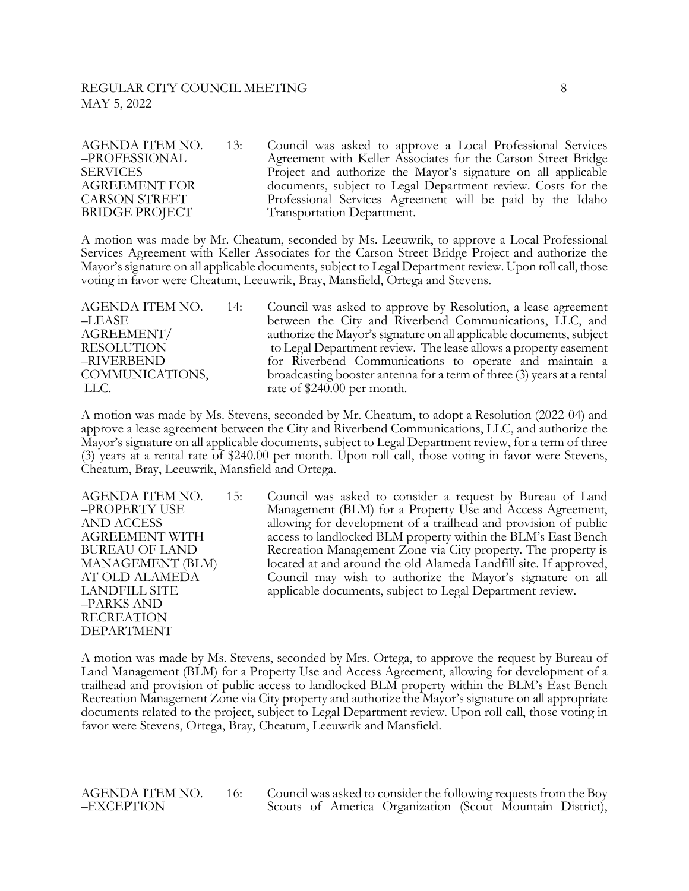AGENDA ITEM NO. 13: Council was asked to approve a Local Professional Services<br>-PROFESSIONAL Agreement with Keller Associates for the Carson Street Bridge SERVICES Project and authorize the Mayor's signature on all applicable AGREEMENT FOR documents, subject to Legal Department review. Costs for the CARSON STREET Professional Services Agreement will be paid by the Idaho BRIDGE PROJECT Transportation Department.

A motion was made by Mr. Cheatum, seconded by Ms. Leeuwrik, to approve a Local Professional Services Agreement with Keller Associates for the Carson Street Bridge Project and authorize the Mayor's signature on all applicable documents, subject to Legal Department review. Upon roll call, those voting in favor were Cheatum, Leeuwrik, Bray, Mansfield, Ortega and Stevens.

AGENDA ITEM NO. 14: Council was asked to approve by Resolution, a lease agreement –LEASE between the City and Riverbend Communications, LLC, and AGREEMENT/ authorize the Mayor's signature on all applicable documents, subject RESOLUTION to Legal Department review. The lease allows a property easement –RIVERBEND for Riverbend Communications to operate and maintain a COMMUNICATIONS, broadcasting booster antenna for a term of three (3) years at a rental LLC. rate of \$240.00 per month.

A motion was made by Ms. Stevens, seconded by Mr. Cheatum, to adopt a Resolution (2022-04) and approve a lease agreement between the City and Riverbend Communications, LLC, and authorize the Mayor's signature on all applicable documents, subject to Legal Department review, for a term of three (3) years at a rental rate of \$240.00 per month. Upon roll call, those voting in favor were Stevens, Cheatum, Bray, Leeuwrik, Mansfield and Ortega.

–PARKS AND RECREATION DEPARTMENT

AGENDA ITEM NO. 15: Council was asked to consider a request by Bureau of Land –PROPERTY USE Management (BLM) for a Property Use and Access Agreement, AND ACCESS allowing for development of a trailhead and provision of public AGREEMENT WITH access to landlocked BLM property within the BLM's East Bench BUREAU OF LAND Recreation Management Zone via City property. The property is MANAGEMENT (BLM) located at and around the old Alameda Landfill site. If approved, AT OLD ALAMEDA Council may wish to authorize the Mayor's signature on all LANDFILL SITE applicable documents, subject to Legal Department review.

A motion was made by Ms. Stevens, seconded by Mrs. Ortega, to approve the request by Bureau of Land Management (BLM) for a Property Use and Access Agreement, allowing for development of a trailhead and provision of public access to landlocked BLM property within the BLM's East Bench Recreation Management Zone via City property and authorize the Mayor's signature on all appropriate documents related to the project, subject to Legal Department review. Upon roll call, those voting in favor were Stevens, Ortega, Bray, Cheatum, Leeuwrik and Mansfield.

AGENDA ITEM NO. 16: Council was asked to consider the following requests from the Boy –EXCEPTION Scouts of America Organization (Scout Mountain District),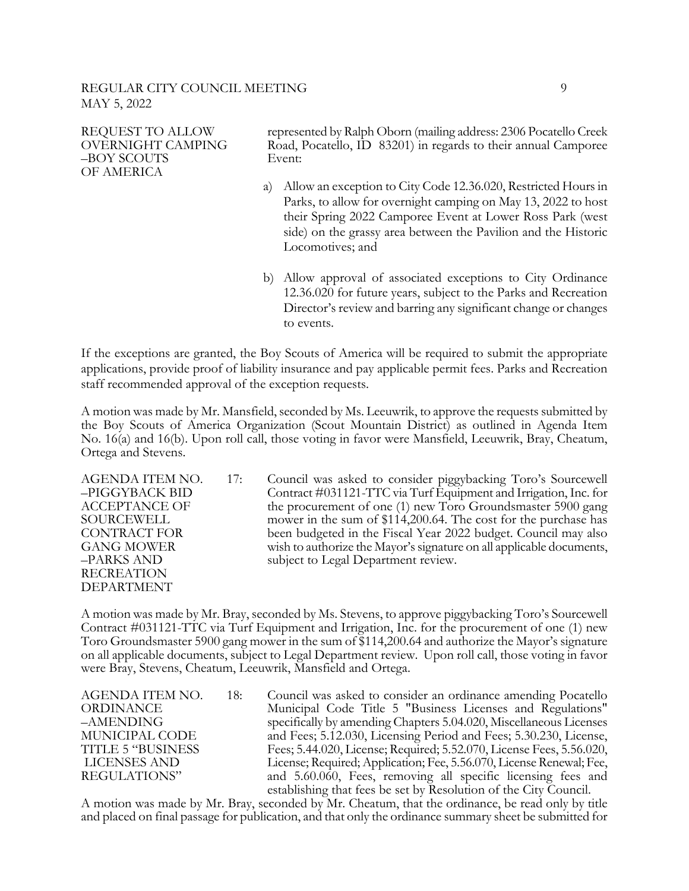OF AMERICA

REQUEST TO ALLOW represented by Ralph Oborn (mailing address: 2306 Pocatello Creek OVERNIGHT CAMPING Road, Pocatello, ID 83201) in regards to their annual Camporee –BOY SCOUTS Event:

- a) Allow an exception to City Code 12.36.020, Restricted Hours in Parks, to allow for overnight camping on May 13, 2022 to host their Spring 2022 Camporee Event at Lower Ross Park (west side) on the grassy area between the Pavilion and the Historic Locomotives; and
- b) Allow approval of associated exceptions to City Ordinance 12.36.020 for future years, subject to the Parks and Recreation Director's review and barring any significant change or changes to events.

If the exceptions are granted, the Boy Scouts of America will be required to submit the appropriate applications, provide proof of liability insurance and pay applicable permit fees. Parks and Recreation staff recommended approval of the exception requests.

A motion was made by Mr. Mansfield, seconded by Ms. Leeuwrik, to approve the requests submitted by the Boy Scouts of America Organization (Scout Mountain District) as outlined in Agenda Item No. 16(a) and 16(b). Upon roll call, those voting in favor were Mansfield, Leeuwrik, Bray, Cheatum, Ortega and Stevens.

RECREATION DEPARTMENT

AGENDA ITEM NO. 17: Council was asked to consider piggybacking Toro's Sourcewell –PIGGYBACK BID Contract #031121-TTC via Turf Equipment and Irrigation, Inc. for ACCEPTANCE OF the procurement of one (1) new Toro Groundsmaster 5900 gang SOURCEWELL mower in the sum of \$114,200.64. The cost for the purchase has CONTRACT FOR been budgeted in the Fiscal Year 2022 budget. Council may also GANG MOWER wish to authorize the Mayor's signature on all applicable documents, –PARKS AND subject to Legal Department review.

A motion was made by Mr. Bray, seconded by Ms. Stevens, to approve piggybacking Toro's Sourcewell Contract #031121-TTC via Turf Equipment and Irrigation, Inc. for the procurement of one (1) new Toro Groundsmaster 5900 gang mower in the sum of \$114,200.64 and authorize the Mayor's signature on all applicable documents, subject to Legal Department review. Upon roll call, those voting in favor were Bray, Stevens, Cheatum, Leeuwrik, Mansfield and Ortega.

AGENDA ITEM NO. 18: Council was asked to consider an ordinance amending Pocatello ORDINANCE Municipal Code Title 5 "Business Licenses and Regulations" –AMENDING specifically by amending Chapters 5.04.020, Miscellaneous Licenses MUNICIPAL CODE and Fees; 5.12.030, Licensing Period and Fees; 5.30.230, License, TITLE 5 "BUSINESS Fees; 5.44.020, License; Required; 5.52.070, License Fees, 5.56.020, LICENSES AND License; Required; Application; Fee, 5.56.070, License Renewal; Fee, REGULATIONS" and 5.60.060, Fees, removing all specific licensing fees and establishing that fees be set by Resolution of the City Council.

A motion was made by Mr. Bray, seconded by Mr. Cheatum, that the ordinance, be read only by title and placed on final passage for publication, and that only the ordinance summary sheet be submitted for